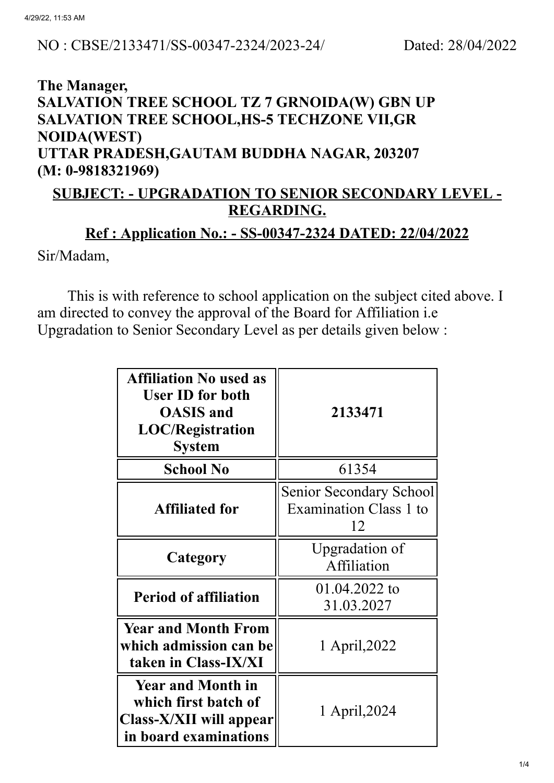#### NO : CBSE/2133471/SS-00347-2324/2023-24/ Dated: 28/04/2022

### **The Manager, SALVATION TREE SCHOOL TZ 7 GRNOIDA(W) GBN UP SALVATION TREE SCHOOL,HS-5 TECHZONE VII,GR NOIDA(WEST) UTTAR PRADESH,GAUTAM BUDDHA NAGAR, 203207 (M: 0-9818321969)**

### **SUBJECT: - UPGRADATION TO SENIOR SECONDARY LEVEL - REGARDING.**

# **Ref : Application No.: - SS-00347-2324 DATED: 22/04/2022** Sir/Madam,

This is with reference to school application on the subject cited above. I am directed to convey the approval of the Board for Affiliation i.e Upgradation to Senior Secondary Level as per details given below :

| <b>Affiliation No used as</b><br><b>User ID for both</b><br><b>OASIS</b> and<br><b>LOC/Registration</b><br><b>System</b> | 2133471                                                 |  |
|--------------------------------------------------------------------------------------------------------------------------|---------------------------------------------------------|--|
| <b>School No</b>                                                                                                         | 61354                                                   |  |
| <b>Affiliated for</b>                                                                                                    | Senior Secondary School<br>Examination Class 1 to<br>12 |  |
| Category                                                                                                                 | Upgradation of<br>Affiliation                           |  |
| <b>Period of affiliation</b>                                                                                             | 01.04.2022 to<br>31.03.2027                             |  |
| <b>Year and Month From</b><br>which admission can be<br>taken in Class-IX/XI                                             | 1 April, 2022                                           |  |
| <b>Year and Month in</b><br>which first batch of<br>Class-X/XII will appear<br>in board examinations                     | 1 April, 2024                                           |  |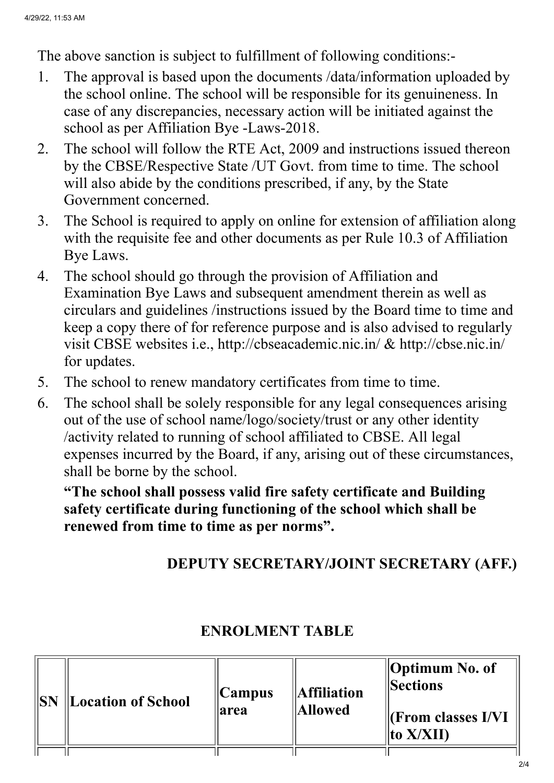The above sanction is subject to fulfillment of following conditions:-

- 1. The approval is based upon the documents /data/information uploaded by the school online. The school will be responsible for its genuineness. In case of any discrepancies, necessary action will be initiated against the school as per Affiliation Bye -Laws-2018.
- 2. The school will follow the RTE Act, 2009 and instructions issued thereon by the CBSE/Respective State /UT Govt. from time to time. The school will also abide by the conditions prescribed, if any, by the State Government concerned.
- 3. The School is required to apply on online for extension of affiliation along with the requisite fee and other documents as per Rule 10.3 of Affiliation Bye Laws.
- 4. The school should go through the provision of Affiliation and Examination Bye Laws and subsequent amendment therein as well as circulars and guidelines /instructions issued by the Board time to time and keep a copy there of for reference purpose and is also advised to regularly visit CBSE websites i.e., http://cbseacademic.nic.in/ & http://cbse.nic.in/ for updates.
- 5. The school to renew mandatory certificates from time to time.
- 6. The school shall be solely responsible for any legal consequences arising out of the use of school name/logo/society/trust or any other identity /activity related to running of school affiliated to CBSE. All legal expenses incurred by the Board, if any, arising out of these circumstances, shall be borne by the school.

**"The school shall possess valid fire safety certificate and Building safety certificate during functioning of the school which shall be renewed from time to time as per norms".**

## **DEPUTY SECRETARY/JOINT SECRETARY (AFF.)**

| <b>ISN</b> | Location of School | Campus<br>area | <b>Affiliation</b><br><b>Allowed</b> | Optimum No. of<br><b>Sections</b><br>$\Vert$ (From classes I/VI)<br>$\ $ to X/XII) |
|------------|--------------------|----------------|--------------------------------------|------------------------------------------------------------------------------------|
|            |                    |                |                                      |                                                                                    |

### **ENROLMENT TABLE**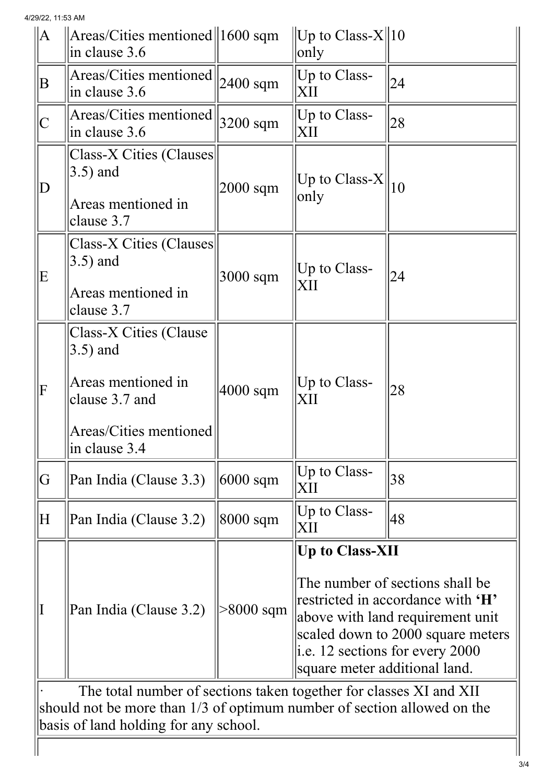4/29/22, 11:53 AM

| $\ A\ $                                                                                                                                       | $ Areas/Cities$ mentioned $  1600$ sqm<br>$\sin$ clause 3.6                                                             |             | $\ $ Up to Class-X $\ $ 10<br>only                                                                                                                                                                                                            |    |  |  |
|-----------------------------------------------------------------------------------------------------------------------------------------------|-------------------------------------------------------------------------------------------------------------------------|-------------|-----------------------------------------------------------------------------------------------------------------------------------------------------------------------------------------------------------------------------------------------|----|--|--|
| $\bf{B}$                                                                                                                                      | Areas/Cities mentioned<br>in clause 3.6                                                                                 | $2400$ sqm  | Up to Class-<br>XII                                                                                                                                                                                                                           | 24 |  |  |
|                                                                                                                                               | Areas/Cities mentioned<br>$\sin$ clause 3.6                                                                             | $3200$ sqm  | Up to Class-<br>XII                                                                                                                                                                                                                           | 28 |  |  |
| D                                                                                                                                             | Class-X Cities (Clauses<br>$(3.5)$ and<br>Areas mentioned in<br>clause 3.7                                              | 2000 sqm    | Up to Class-X $\parallel_{10}$<br>only                                                                                                                                                                                                        |    |  |  |
| E                                                                                                                                             | Class-X Cities (Clauses)<br>$(3.5)$ and<br>Areas mentioned in<br>clause 3.7                                             | 3000 sqm    | Up to Class-<br>XII                                                                                                                                                                                                                           | 24 |  |  |
| F                                                                                                                                             | Class-X Cities (Clause<br>$3.5)$ and<br>Areas mentioned in<br>clause 3.7 and<br>Areas/Cities mentioned<br>in clause 3.4 | $4000$ sqm  | Up to Class-<br>XII                                                                                                                                                                                                                           | 28 |  |  |
| G                                                                                                                                             | Pan India (Clause 3.3)                                                                                                  | $6000$ sqm  | $ Up \text{ to Class-}$<br>XII                                                                                                                                                                                                                | 38 |  |  |
| H                                                                                                                                             | Pan India (Clause 3.2)                                                                                                  | 8000 sqm    | $ Up \text{ to Class-}$<br>XII                                                                                                                                                                                                                | 48 |  |  |
|                                                                                                                                               | Pan India (Clause 3.2)                                                                                                  | $>8000$ sqm | <b>Up to Class-XII</b><br>The number of sections shall be<br>restricted in accordance with 'H'<br>above with land requirement unit<br>scaled down to 2000 square meters<br>i.e. 12 sections for every $2000$<br>square meter additional land. |    |  |  |
| The total number of sections taken together for classes XI and XII<br>should not be more than 1/3 of optimum number of section allowed on the |                                                                                                                         |             |                                                                                                                                                                                                                                               |    |  |  |
| basis of land holding for any school.                                                                                                         |                                                                                                                         |             |                                                                                                                                                                                                                                               |    |  |  |
|                                                                                                                                               |                                                                                                                         |             |                                                                                                                                                                                                                                               |    |  |  |

 $\mathbb{I}$